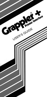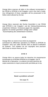#### **WARNING**

Orange Micro reserves all rights in the software incorporated in the PROM or EPROM in the Grappler+ and in the User's Guide. Any infringement of those copyrights will be prosecuted to the fullest extent allowed by the law.

#### **HINWElS**

Orange Micro reserviert alle Rechte hinsichtlich in der PROM oder EPROM in der Grappler+ und der Gebrauchtsanweisung erwaehnten Software. Verstoesse gegen die copyrights jeglicher Art werden gerichtlich verfolgt unter vollater Ausschoepfung des andwenbaren Gesetzes.

#### **AVIS**

Orange Micro se reserve tous droits du programme controloant les differentes operations du PROM ou EPROM du Grappler+ ainsi que celles decrites dans le Manuel d'utilisation du systeme. Tout violateur de ces copyrights sera poursuivi dans toute Ia mesure fixee par Ia loi.

# **AVIS 0**

Orange Micro se reserva todos los derechos de programacion incorporada en el PROMo EPROM en el Grappler+ yen el Manual de a Operadora. La violacion de estos derechos de copia ocasionara Ia mayor prosecuci6n permitida par Ia ley.

# **Need a problem solved?**

See page 20.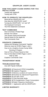# **GRAPPLER. USER'S GUIDE**

| HOW THIS USER'S GUIDE WORKS FOR YOU                                                                                                                                                                                                                                                                                                                                                                                                                 |                                                      |
|-----------------------------------------------------------------------------------------------------------------------------------------------------------------------------------------------------------------------------------------------------------------------------------------------------------------------------------------------------------------------------------------------------------------------------------------------------|------------------------------------------------------|
| <b>INSTALLATION</b><br><b>Testing with Applesoft</b><br>Testing with CP/M                                                                                                                                                                                                                                                                                                                                                                           | $\overline{2}$<br>5<br>5                             |
| <b>HOW TO OPERATE THE GRAPPLER+</b><br>What will the GRAPPLER+ do?<br>How does the GRAPPLER+ work?<br>Turning the GRAPPLER+ "on" and "off"<br>The Keyboard Command<br>The Print Statement Command                                                                                                                                                                                                                                                   | 6<br>6<br>6<br>6<br>$\overline{7}$<br>$\overline{7}$ |
| <b>TEXT COMMANDS</b><br>How to Format a Printed Page<br><b>Normal Text Values</b><br>Text Screen Dump and Example<br>Special Notes for the Apple IIe<br><b>Text Commands Chart</b>                                                                                                                                                                                                                                                                  | 8<br>8<br>9<br>10<br>10<br>11                        |
| <b>GRAPHICS COMMANDS</b><br>Adding and Stringing Commands Together<br>What we mean by HI-RES Pages 1 and 2<br>How to do a Graphics Screen Dump While                                                                                                                                                                                                                                                                                                | 14<br>14<br>14                                       |
| Running A Program<br>How to Print a Picture Saved to Disk<br>How to Print Both HI-RES Pages 1 and 2,<br>Side by Side                                                                                                                                                                                                                                                                                                                                | 15<br>15<br>16                                       |
| <b>Graphics Commands Chart</b>                                                                                                                                                                                                                                                                                                                                                                                                                      | 16                                                   |
| <b>TRANSPARENT MODE</b>                                                                                                                                                                                                                                                                                                                                                                                                                             | 19                                                   |
| <b>TROUBLESHOOTING</b><br>Use with Popular Software                                                                                                                                                                                                                                                                                                                                                                                                 | 20<br>20                                             |
| <b>APPENDIX A: Pascal and CP/M Compatibility</b><br><b>APPENDIX B:Graphics Programs</b><br><b>APPENDIX C:Memory Locations &amp; Custom Drivers</b><br><b>APPENDIX D:Routines for Advanced Programmers</b><br><b>APPENDIX E:Use with LOGO</b><br><b>APPENDIX F:Chart Recorder Mode</b><br><b>APPENDIX G:Pin Assignments. Power Consumption</b><br><b>APPENDIX H:Radio Frequency interference</b><br><b>APPENDIX I: Appleworks with the GRAPPLER+</b> | 22<br>23<br>25<br>25<br>27<br>28<br>28<br>29<br>30   |
|                                                                                                                                                                                                                                                                                                                                                                                                                                                     |                                                      |

# **[LIMITED WARRANTY](#page-33-0)** 32

1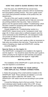# **HOW THIS USER'S GUIDE WORKS FOR YOU**

<span id="page-3-0"></span>Over the years, the GRAPPLER has served many thousands of satisfied Apple customers with its revolutionary text and graphics printing choices. This user's guide covers one of the most prominent members of the product line, the GRAPPLER+.

The aim of this user's guide is twofold: to help you understand the product's operation and to help you overcome any printing problems that may arise. Take a moment to glance over the special section entitled "Troublshooting" which has been created for answering both hardware and software problems (see pages 20-21).

Closely related to the "Troubleshooting' section is a GRAPPLER+ feature known as the "transparent mode" (see page 19). In those cases when a software program uses the same commands as the GRAPPLER+, the transparent mode can provide an effective temporary by-pass to allow the program to operate.

Be sure to refer to the user's guide as often as necessary to help solve any problems that may arise. Therein lies the best means of keeping your Apple and GRAPPLER+ working

smoothly together.

#### **SpecIal Note on the Apple II+**

The GRAPPLER+ is designed to be installed in the Apple IIe and the Apple II+. You should be aware that this user's guide is written primarily for the Apple IIe with footnotes and special instructions added whenever the Apple II+ might differ.

# **INSTALLATION**

The installation of the GRAPPLER+ is quick and easy. The only tool required is a screwdriver.

# **1.TURN OFF THE POWER TO YOUR APPLE AND UNPLUG ALL POWER CONNECTIONS.**

2. Notice the grouping of four small switches located on the GRAPPLER+ itself. These switches are labeled 1,2,3,4 and together form what is called the "DIP switch". The GRAPPLER+ DIP switch must be set according to your printer type.

Consult the following chart to find your printer. Then set each individual switch handle to either ON or OFF. (If your switch is marked OPEN/CLOSED, OPEN=OFF and CLOSED  $=ON.$ )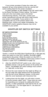If your printer emulates (Copies the codes and behavior of) any of the printers on the list, use the DIP switch setting listed for the printer emulated.

**It your printer is not listed** in the DIP switch table, try the Epson Dot Matrix Printers setting. The Epson code set is the most widely used in the printer manufacturing industry. If this fails, contact your printer manufacturer and ask with which major brands your printer is compatible. If your printer is not compatible with any of the printers listed in the following chart, contact your dealer immediately. The GRAPPLER's built-in graphics features may not be available to your printer.

# **GRAPPLER DIP SWITCH SETTINGS**

| DIP SWITCH POSITIONS                             | 1*         | з               | 4   |
|--------------------------------------------------|------------|-----------------|-----|
| <b>Anaclex Printers</b>                          | OFF ON     | OFF OFF         |     |
| Apple Dot Matrix                                 | OFF OFF ON |                 | OFF |
| C.Itoh 8SIOEP                                    | OFF ON     | ON              | ON  |
| Epson Dot Matrix Printers                        | OFF ON     | <b>ON</b>       | ON  |
| <b>Hewlett Packard Think-Jet</b>                 | OFF ON     | <b>ON</b>       | ON  |
| NEC 8023, C. Itoh 8510/ProWriter                 | OFF ON     | <b>ON</b>       | OFF |
| Okidata 82A. 83A, 84, 182, 183, 92, 93, 192, 193 |            |                 |     |
| (Okidata Version only, not Imagewriter or IBM)   |            | OFF OFF ON      | ON  |
| Okidata 84 w/o step ii Graphics                  |            | OFF OFF OFF ON  |     |
| Panasonic KXP-109011 091                         | OFF ON     | ON.             | ON  |
| Smith-Corona D-10012001300                       | OFF ON     | ON.             | ON  |
| <b>Star Micronics Series</b>                     |            | OFF ON OFF ON   |     |
| <b>Letter Quality Printers</b>                   |            | OFF OFF OFF OFF |     |
| <b>Transparent Mode</b>                          |            | OFF OFF OFF OFF |     |

\*Switch 1 controls the MSB (Most Significant Bit, or 8th data bit). When this switch is in the ON ('I position, the MSB is **NOT**  transmitted to the printer. When the switch is in the OFF (-) position, the MSB is under software control (see Control-I H and Control-I X under TEXT COMMANDS on page 13).

- 3. After the GRAPPLER DIP switch is set, refer to your **printer** manual. Look up the section on the printer DIP switch. The **printer** DIP switch settings must conform to 7 data bits, no line feed.
- 4. Remove the cover slowly from the Apple by lifting it at the rear edge (the edge farthest from the keyboard) until the two corner fasteners release. At this point, slide the cover backward until it becomes free.
- 5. Looking down into the Apple. you will notice a series of narrow sockets called "slots." These slots are used for expanding your computer by adding disk drives, printers, or other peripherals. Note that for the IIe, slot  $\varnothing$  is below slot 1. For the Apple land II+, the slots are in one straight row.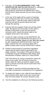- 6. Find slot 1, **IT IS RECOMMENDED THAT THE GRAPPLER BE INSTALLED IN SLOT 1**, although it may be installed in any slot (except slot zero). Most programs will look for the GRAPPLER in slot 1, and this user's guide assumes that you have installed it there.
- 7. At the rear of the Apple will be a series of openings that correspond to the slots. Find the case opening nearest to slot 1. Take the printer cable in hand and route the end with the ground clamp and screw through this opening.
- 8. Examine both the Grappler Printer port and the printer cable. Recognize that one position on the cable is blocked so that there is only one way that the connector will fit. Attach the printer cable to the Grappler printer port in this manner.
- 9. Locate the "edge connector on the GRAPPLER: this is the extension on the GRAPPLER that allows it to fit into the Apple. **Double check to see that the power is off***.* Grasping the GRAPPLER firmly, insert the edge connector into slot 1 and press down with a gentle rocking motion until the GRAPPLER is seated.
- 10. Federal Communications Commission regulations require that the printer cable be grounded to the Apple computer. The purpose of the ground clamp is to eliminate computer interference with nearby radio and television reception, within FCC Class B limits.

FOR THE APPLE IIe: Using a screwdriver, loosen the clamp on the cable. (Do not remove screw from clamp.) Slide the clamp up inside the Apple's metal notch so that the screw fits into the notch itself. Now tighten the screw.

The Apple II+ cannot be properly grounded and due to its date of production is exempt from FCC regulations.

- 11 To replace the Apple's cover, slide the front edge into place and then press down on the rear corners until they are firmly seated. Re-connect all power cords.
- 12. Test the installation by referring to the following sections.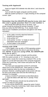# <span id="page-6-0"></span>**Testing with Applesoft**

Insert an Apple DOS diskette into disk drive 1 and close the drive door.

Turn on both the Apple computer and the printer.

With the system prompt (or "]" sign) showing on the computer screen, type:

#### PR#1

# **Remember that the GRAPPLER may be in any slot, but this user's guide assumes that It Is slot number 1.**

Now hit the RETURN key five or six times. Your printer should be printing the prompt character "]" each time you strike the RETURN key. If not, double check each of your installation procedures and glance over these reminders:

- 1. Is the cable correctly attached between GRAPPLER and printer?
- 2. Is the printer on?
- 3. Is the printer "on line," or ready to receive information from the computer?
- 4. Is there paper in the printer?

#### **Testing with CP/M**

If your Apple is set up with a CP/M operating system, insert the CP/M diskette into drive A and close the drive door. **NOTE: If you are using CP/M, the GRAPPLER must be In slot 1.**

Turn on both the Apple computer and the printer. With the system prompt, or "A>' showing on your computer screen, locate the Control key (marked CTRL on the Apple II+) on the left hand side of the computer keyboard. Press the Control key, hold it down and press the "**P**" key. Release both.

You have just executed the Control-P command which turns on the GRAPPLER. There will be no visible printer response when the two key combination is pressed. However, anything typed on the screen will now be sent to the printer each time the RETURN key is pressed. For example:

1 Issue a Control-P command as described above.

2. Type the letters DIR after the A> prompt. Press RETURN.

Your CP/M directory should now be printed to the screen as well as to the printer.

To turn off the GRAPPLER, repeat the same Control-P procedure. Press the Control key, hold it down and then press the "P key. Release both.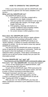# **HOW TO OPERATE THE GRAPPLER**

<span id="page-7-0"></span>If this is your first encounter with the GRAPPLER, take a few moments to glance over the basics detailed in this section.

# **What will the GRAPPLER do?**

The GRAPPLER allows you to:

- 1. Print graphics or text files created with a program on your Apple computer.
- 2. Give your printer text commands to set up each printed page with margins, line length, page length, line feed, etc.
- 3. Print graphics, drawings and charts in a number of different ways including rotated, inverse, double-sized and others.
- 4. Do screen dumps in either graphics or text.

# **How does the GRAPPLER work?**

First, assume that you are using an Apple software program that has its own printing commands. In this instance, you are using the GRAPPLER merely as an "dumb" interface, a medium to transfer information from computer to printer. You do not need to issue any special GRAPPLER commands.

The second way the GRAPPLER works is through a series of special text and graphics commands. These can be issued 1) from the keyboard, or 2) from a print statement within a program. These direct commands are used by you to tell your printer exactly how you want the information printed.

# **Turning GRAPPLER "on" and "off'**

#### **You cannot use the GRAPPLER commands unless you first turn "on" the GRAPPLER.** How does this happen?

To turn on the GRAPPLER in Applesoft BASIC, type: PR#1 (and press the RETURN key)

To turn off the GRAPPLER, type: PR#0 (and press the RETURN key). For a IIe with an 80 column screen, see how to enter a Control command as described under

"Keyboard Command" and then type: Control-I e.

NOTE: With a CP/M operating system, use the Control-P command to turn the GRAPPLER on and off. See "Testing with CP/M" on page 5.

After you turn "on" the GRAPPLER, you may use either a keyboard command or print statement to issue a command.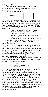#### <span id="page-8-0"></span>**1.Keyboard Command**

After turning the GRAPPLER "on," you can issue a command directly from the keyboard. This is done by pressing a combination of three keys.

See the following example.



First, check to see that your printer is turned on and that it is "on line" or ready to receive information from the computer. Locate the Control key on the left hand side of your keyboard. (For Apple II+, the key is marked CTRL.) Now follow these steps (for Applesoft BASIC, 40 column display only):

- 1. Type PR#1 to turn "on" the GRAPPLER.
- 2. Press the Control key and hold it down.
- 3. Now, press the I key.
- 4. Release the I key, then release the Control key.
- 5. Type the S key
- 6. Finally, type PR#0 to turn "off" the GRAPPLER

If you have an Apple IIe with 80 column display, you would type Control-I e to turn "off" the GRAPPLER, using the same sequence.

Every GRAPPLER Applesoft keyboard command is a combination of the control character (the Control key and the I key) plus any additional character(s) representing the GRAPPLER command. The above command executes a text "screen dump" which transfers the current text information from the screen directly to the printer.

#### **2.Print Statement Command**

Another method of issuing a GRAPPLER command is in a print statement, A print statement is one line within a program. For example, see line 20:

> 10 PR#1 20 PRINT CHR\$(9);"S" 30 PR#0

The same keyboard command (Control-I 5) could also be written CHR\$(9);"S". In the Applesoft program shown above, the print statement on line 20 represents the GRAPPLER command to do a screen dump, (For a IIe with 80 column display, use: 30 PRINT CHR\$(9);"e" for line 30,)

Print statements can be written for text or graphics commands. Note that when issuing a command the GRAPPLER is always turned "on" and "off," as shown in lines 10 and 30. If you wish to run the program, type in the three lines, pressing the RETURN key after each line. Once the program is entered, type RUN to execute and press RETURN. The contents of your Apple screen will now be printed on the printer.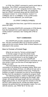<span id="page-9-0"></span>In CP/M, the LPRINT command is used to send data to the printer. The LPRINT command itself turns the GRAPPLER "on" and "off," using the Correct codes. Thus, when doing a screen dump with CP/M, you would only type the LPRINT command along with the GRAPPLER command Control-V S. In line 10 below, Control-Y is CHR\$(25): and "5" is CHR\$(83). To do a CP/M screen dump from a print statement, you would type:

10 LPRINT CHR\$(25);CHR\$(83);

After typing the three lines, type RUN to execute and press RETURN.

NOTE: Executing GRAPPLER commands in CP/M directly from the keyboard (not a print statement) requires the CP/M Control-P command. See Testing with CP/M on page 5.

#### **TEXT COMMANDS**

The GRAPPLER provides valuable tools for printing text. The text commands allow you to format a printed page and do text screen dumps. Both of these features are described in this section.

#### **How to Format a Printed Page**

What do we mean by "format a printed page"? To format a page is to give the printer exact commands as to how you want the text printed. If you don't have a word processor to set the margins, line length, or page length, you can send GRAPPLER commands instead. The GRAPPLER text commands set up your printer to give you the kind of final page layout or design you want.

The most popular use of the text formatting commands is for printing Out a program listing. When your screen will only display 23 lines, it is difficult to look over a program that may be hundreds of lines long. Printing the program on paper is important not only for record keeping, but also from the standpoint of reading the program itself.

The following program, written in Applesoft, provides a practical demonstration of setting the line length, right margin, left margin and page length with text commands. Begin typing at line 10. Do not type the remarks to the left. NOTES: when typing line 80, include two blank spaces between the period and the end quotation marks. For a IIe with 80 columns, use: PRINT l\$;"e" for line 110.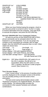<span id="page-10-0"></span>

| 10 IS=CHRS(9)                 |
|-------------------------------|
| 20 PR#1                       |
| 30 PRINT I\$"80N"             |
| 40 PRINT I\$;"75R'            |
| 50 PRINT I\$;"60P"            |
| 60 PRINT I\$"'10L"            |
| 70 FOR I=1 TO 100             |
| 80 PRINT "THE QUICK BROWN FOX |
| JUMPED OVER THE LAZY DOG.":   |
| 90 NEXT I                     |
| 100 END                       |
| 110 PR#0                      |
|                               |

When you have finished typing the program, check to see that your printer is turned on and is "on line" or ready to receive information from the computer. Then type RUN to execute the program, and press the RETURN key.

#### **Normal GRAPPLER Text Command Values**

As soon as you turn on the GRAPPLER with a PR#1, all text commands can be activated either from the keyboard or a print statement. If you do not assign any numbers to the commands (for example, 60P for page length), then the GRAPPLER assumes that it is zero. Other values are shown here:

Left margin  $= 0$  Line length  $= 0$  $Right margin = 0$  Page length = 0 Screen display = ON (with Applesoft BASIC) Screen display = OFF (with PASCAL and CP/M) Line feed after carriage return = YES with BASIC NO with Pascal and CP/M

Eighth bit = OFF When GRAPPLER+ DIP switch #1 is in the ON (+) position, the 8th bit is not transmitted. When the DIP switch is in the OFF (-) position, the 8th bit is under program control. (See Control-I H.)

#### **Text Screen Dump**

A text "screen dump" is the process of sending what is currently displayed on the computer screen to the printer. You are actually printing a one full screen of text information.

The text screen dump demonstration shown under "Keyboard Command" is for Applesoft BASIC, 40 column screen display. The following table provides the commands for other popular hardware and software combinations.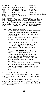# <span id="page-11-0"></span>**Computer Display Command**

Apple IIe/II+ 40 column Applesoft Control-I S Apple IIe/II+ 40 column CP/M Control-Y S Apple IIe 80 column Applesoft Control-I 8S\* Apple IIe 80 column CP/M Control-V 8S Apple II+ 80 column Screen Dump Unavailable \*Requires an Apple 80-column card

**IMPORTANT:** Whenever a GRAPPLER command appears in this user's guide, there will be a space shown between the control character and the command itself (for example, the space between the I and the S.) **This space should NOT be typed when entering the command.**

# **Text Screen Dump Example**

To do a quick screen dump, follow these instructions:

- 1. Select your hardware/software configuration from the table shown above, and make note of the command.
- 2. insert a system diskette into drive 1, close the door and turn on the computer. Turn on the printer, and make certain that it is 'on line" or ready to accept information from the computer.
- 3. To fill the screen with text information, type either CATALOG (for Applesoft) or DIR (for CP/M). Now press the RETURN key several times.
- 4. Turn on" the GRAPPLER. For Applesoft, type PR#1. For CP/M, press Control-P
- 5. Type the text screen dump command. Refer to the Keyboard Command section on page 7, if you have any questions on how to press the keys. Do not insert any spaces between characters.
- 6. The contents of the screen (catalog or directory) should now be printed Out on the printer.
- 7. Turn off" the GRAPPLER. if you have a IIe with 80 ccl, see the next section entitled "Special Notes.

# **Special Notes for the Apple IIe**

On the Apple IIe, it is not necessary to use an ESC Control-Q command prior to typing PR#1 to turn "on" the GRAPPLER.

To turn "off" the GRAPPLER on an Apple IIe with 80 column board, at the same time leaving the screen intact and the 80 column active, you must type a Control-I e. No PR#3 is required.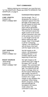# **TEXT COMMANDS**

<span id="page-12-0"></span>Before entering any command, you must first turn "on" the GRAPPLER. Please see HOW TO OPERATE THE GRAPPLER, on page 6.

#### **Command Command Description**

LINE LENGTH Set line length. The "n" Control-I nN designates the number of PRINT CHR\$(9);"80N" character spaces from the left edge of the paper (not the left margin) at which the line will end. A carriage return will be generated following the nth character This command causes the Apple screen to be turned off and characters sent only to the printer (see Control-I I). Line length must be set before setting the right margin. Note: If line length is set for 0 (meaning "infinity"), the GRAPPLER will not issue a line feed until the Apple sends one.

LEFT MARGIN Set left margin to nth Control-I nL column. All subsequent PRINT CHR\$(9);"10L" printing will have "n" (nnumber) spaces at the beginning of each line.

**RIGHT MARGIN** Set right margin to nth "Word Wrap" column from LEFT edge of Control-I nR the paper (NOT the left PRINT CHR\$(9);"70R" margin). This command will prevent words from being split. The GRAPPLER will issue a carriage return at the first space following the right margin, but prior to the end of the line as set by Control-I nN. A right margin of zero disables this command. When listing BASIC programs, printing will automatically be formatted in 40 column mode unless this command is used. The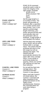**PAGE LENGTH**

Control-I nP PRINT CHR\$(9);"60P"

#### **ADD LINE FEED** Control-I A

PRINT CHR\$(9);"A"

# **CANCEL LINE FEED**

Control-I K PRINT CHR\$(9);"K"

# **SCREEN ECHO**

Control-I I PRINT CHR\$(9);"l" POKE 33,33 command should be used in order to retain the integrity of the right margin. Example:

]POKE 33,33 ]PR#1 ]Control-l 75R ]LIST **ITEXT** 

Set the page length to n (n=number) of lines. The printer will generate six linefeeds after a specified ("n") number of lines have been printed. Thus, if you specify a printed page length of 60 lines, your printer will print 60 lines and automatically skip over the perforation with six linefeeds. A page length of zero disables this feature.

Add line feed onto carriage return. BASIC will not send a linefeed after a carriage return. This means that the printhead will return to the left margin but will not advance the paper. The GRAPPLER will automatically advance the paper after every carriage return. If your printer is performing double line spacing, check your printer DIP switches for auto line feed selection.

Do not add line feed onto carriage return. This command overrides Control-I A (see above).

When used with Control-I nN shown above, the Control-I I command will allow characters to be printed and shown on the Apple screen simultaneously. However, this command does not work when listing a program.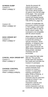**SCREEN DUMP** Control-I S PRINT CHR\$(9);"S"

Control-I 2S PRINT CHR\$(9);"2S"

### **HIGH ORDER BIT** Control-I H

PRINT CHR\$(9);"H"

# **CANCEL HIGH ORDER BIT**

Control-I X PRINT CHR\$(9);"X"

# **CHANGE CONTROL**

Control-I Control Y PRINT CHR\$(9);CHR\$(25);

 Sends the present 40 column text screen information to the printer. The screen will be printed 20 spaces from the left edge of the paper. This command is not compatible with 80 column text display boards (see SPECIAL NOTES FOR THE APPLE IIe, page 10).

Control-I 2S duplicates the text screen memory located in TEXT pages 1 and 2 and prints them side by side for an 80 column output. This command is not compatible with 80 column boards.

Allows high order (8th) bit to be passed to the printer to permit the printing of special characters, block graphics, or whatever your printer may print for the upper ASCII character set. When these characters are being printed, standard characters are not accessible.

Don't output the high order (8th) bit. This puts the printer back into standard text mode and overrides the Control-I H command.

This command changes the control character from Control-I to Control-Y. Control-Y is used when entering commands in either CP/M or PASCAL. If desired, any control character may be used here instead of Control-Y; but you should avoid characters used by your printer or normal text control characters such as Control-M, (carriage return).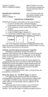<span id="page-15-0"></span>Control-Y Control-I When Control-Y is in use,<br>PRINT CHR\$(25):CHR\$(9): this command changes the  $PRINT CHR$(25):CHR$(9);$ 

control character back to Control-I.

# **GRAPPLER VERSION** This command prints Out

PRINT CHR\$(9);" V"

Control-I V the version number of the

# **GRAPHICS COMMANDS**

GRAPPLER Graphics commands can be used as follows:

- 1. To print in double sized, rotated 90 degrees, emphasized, inverse and a variety of other features.
- 2. To do a graphics screen dump while running a program.
- 3. To print a picture saved to disk.
- 4. To print HI-RES Page 2 instead of 1.
- 5. To print both HI-RES Pages 1 and 2, "side by side" The most basic and frequently used graphics command is



This is the keyboard command (in Applesoft BASIC) that takes the picture currently displayed (in HI-RES Page 1) on the Apple screen and sends it to the printer.

#### **Adding and Stringing Commands Together**

All graphics commands consist of Control-I G. However, other features can be added by merely typing the letter command after the "G." For example, D is for double sized. To print a graphics picture double-sized, you would type Control-I GD.

Graphics commands can also be strung together for compound features such as Control-I GDR, which tells the GRAPPLER to print the graphics image double-sized and rotated 90 degrees clockwise. Another example might be Control-I GDIR2 which will print the inverse of HI-RES page 2, double-sized and rotated.

Options may be typed in any order, as long as they are preceded by a Control-I G.

#### **What We Mean by "HI-RES Pages 1 and 2"**

The Apple has two areas in memory set aside for storing graphics information. These areas are called Page 1 and Page 2 (HI-RES is short form for "high resolution" which refers to the dot density used for graphics on the Apple screen.)

When you wish to print a picture, you must tell the computer which Page you are using and the memory location. You have the option of loading a graphics picture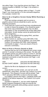<span id="page-16-0"></span>into either Page. If you load the picture into Page 1, the memory location is A\$2000. For Page 2, the location is A\$4000.

By itself, Control-I G always refers to Page 1. To print Page 2, you must specify a 2 in the command sequence. For example, Control-I G2.

#### **How to do a Graphics Screen Dump While Running a Program**

If you are running a program and run across a graphics picture that you would like to print, use the following procedure:

- 1. Press both the Control and Reset keys simultaneously in order to freeze the program. (You should be aware that some copy protected programs may not allow interruption or may not preserve the screen data when interrupted. Screen dumps cannot be performed from these programs.)
- 2. Turn "on" the GRAPPLER by typing PR#1, and then press the RETURN key.
- 3. Press Control-I G, and then press RETURN. If the program uses Page 2 for its graphics, you must enter Control-I G2 and press RETURN. (See Keyboard Commands on page 7, if you are unsure of how to execute a command.)

#### **How to Print a Picture Saved to Disk**

Assume that you are in the Applesoft text screen mode and the "]" prompt is showing on the screen. The disk with the graphics picture you wish to print is in Drive A, and the name of the file is CHART. Use the following sequence of keyboard commands to load the picture into Page 1, and then print. Type:

| HGR.                | (and press the RETURN key) |
|---------------------|----------------------------|
| BLOAD CHART,A\$2000 | (and press the RETURN key) |

Wait for the file to be displayed on the computer screen.

Once the file is on the screen, you can turn on the GRAPPLER, using PR#1, and then use Control-I G to print the picture. The contents of screen will be printed. Type TEXT and press RETURN, to return to the text mode.

For loading a picture into Page 2, substitute HGR2 and A\$4000 in the above sequence. Use Control-I G2 to print the picture

Included in Appendix C, are two useful Applesoft BASIC programs designed to help you execute the GRAPPLER commands while printing a picture saved to disk. See page 26.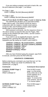<span id="page-17-0"></span>If you are writing a program and wish to load a file, use the print statement (see page 7 ) as follows:

#### For Page 1, type:

PRINT CHR\$(4):"BLOAD [filename],A\$2000"

For Page 2, type: PRINT CHR\$(4);"BLOAD [filename],A\$4000"

# **How to Print Both HI-RES Pages 1 and 2, Side by Side**

The GRAPPLER will allow you to print both HI-RES Pages side by side. (This feature cannot be used in conjunction with the rotated or double-sized options, except for NEC and ProWriter printers which handle double-wide in normal operations.)

With keyboard commands, use the sequence shown in the above section to load the files into the Pages. After turning on the GRAPPLER with a PR#1. use the Control-I GS command to print.

If you wish to use an Applesoft program, type the following lines, pressing RETURN after each line. Substitute your file names for CHART1 and CHART2:

#### **10PRINT CHR\$(4);"BLOADCHART1 ,A\$2000 20PRINT CHR\$(4);"BLOAD CHART2,A\$4000 30PRINT CHR\$(4);"PR#1" 40PRINT CHR\$(9);"GS" 50PRINTCHR\$(4);"PR#0" 60END**

After you have finished typing the program, type RUN to execute, and then press the RETURN key.

# **GRAPHICS COMMANDS**

Before entering any command, you must first turn 'on" the GRAPPLER. Please see HOW TO OPERATE THE GRAPPLER, on page 6.

# **SCREEN DUMP Page 1** Print HI-RES screen

# **SCREEN DUMP Page 2** Print HI-RES page 2

Control-I G2 instead of 1. PRINT CHR\$(9);"G2"

#### **Command Command Description**

Control-I G page 1 on the printer.<br>
PRINT CHRS(9):"G" Every white dot on the Every white dot on the screen appears as a black dot on the paper. To reverse this color scheme, see the "I" or inverse option.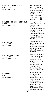#### **SCREEN DUMP Pages 1 & 2**

Control-I GS PRINT CHR\$(9);"GS"

#### **DOUBLE HI-RES SCREEN DUMP** Control-I Ge PRINT CHR\$(9);"Ge"

**DOUBLE-SIZE** Control-I GD PRINT CHR\$(9);"GD"

#### **EMPHASIZED MODE**

Control-I GE PRINT CHR\$(9);"GE"

**IN VERSE** Control-I GI PRINT CHR\$(9):"GI"

 Print HI-RES page 1 and 2 side by side. This feature cannot be used in conjunction with the rotated or double-sized options. **See Appendix F: Chart Recorder Mode, page 28.**

For Apple IIe only. Prints the image using Apple's Double Hi Resolution Graphics. Requires an extended 80-column card and "REV B" or later IIe. This command cannot be used with either rotate or double-size options.

Print the graphics screen double-size. A double-size image is actually four times the area of the original. printing four dots for every one.

Prints an "emphasized image.' When in this mode, the printer will print two closely spaced dots for every one dot it would normally print. The image becomes denser, but takes twice as long to print.

Invert the image before printing. Normally, every white dot on the screen is printed as a black dot on the paper. However, this would make an actual picture of a person or object appear like a negative photograph.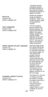#### **ROTATE**

Control-I GR PRINT CHR\$(9);"GR"

#### **TEXT WINDOW**

Control-I GM PRINT CHR\$(9);"GM"

#### **PRINT IMAGE AT LEFT MARGIN** Control-I GL

PRINT CHR\$(9):"GL"

#### **CHANGE ASPECT RATIO**

Control-I G\*n PRINT CHR\$(9);"G\*n"

 Using the inverse command will print the black portions of the screen as black, allowing the picture to appear normally.

Rotate the graphics image 90 degrees clockwise. Note: only HI-RES graphics (and not text) can be rotated.

Print the graphics picture and the four line text window 20 spaces from the left edge of the paper. Rotate, double-size and left margin features do not work with this command. NOTE: Text may not align or fall directly under the picture.

Print the image at the left margin previously set with the Control-I nL command (see text commands, page 11). The actual print position may be affected by the current print density (dots per inch) or may be automatically set to seven dots per character as in graphics. When this command is not in use, the image will appear centered on an 8/2 inch page.

The Epson EX, RX and LX printers provide the ability to change the aspect ratio from 1 to 6. See your respective printer manual. NOTE: Aspect Ratio 5 is not available on the RX series.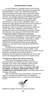# **TRANSPARENT MODE**

<span id="page-20-0"></span>In some instances, a program that you are running may be using one or several of the same commands that the GRAPPLER is using. The GRAPPLER would then begin intercepting commands meant only for the printer and prevent proper execution of the program's printing functions. An example would be the WORDSTAR program when used with a BROTHER HR letter quality printer.

To avoid a conflict between a program and the GRAPPLER, you can use the "transparent mode." The transparent mode allows all codes sent by the computer to by-pass the GRAPPLER command structure. In the transparent mode, the GRAPPLER performs strictly as a "dumb" rather than "intelligent" printer interface. The transparent mode can be activated in two ways: through the keyboard or by setting the GRAPPLER DIP switch.

# **Transparent Mode Keyboard Command**

**To** activate the transparent mode by keyboard, type PR#1 and press the RETURN key. Then type the "Control-I T" command and press RETURN. If there was a conflict between the program's printing commands and the GRAPPLER, the transparent mode will now allow the program's commands to pass through the GRAPPLER unaffected

All GRAPPLER commands will now be ignored until the transparent mode is turned off with a PR#0, or the computer is reset. Note that once this mode is entered via the keyboard, the display screen will go blank: no characters that are typed at the keyboard nor sent to the printer will subsequently be shown on the Apple screen.

#### **Transparent Mode DIP Switch Setting**

If you wish the transparent mode on a more permanent basis, the GRAPPLER DIP switch may be changed. First, refer to the installation section of this user's guide for removal and re-installation of the GRAPPLER. Observe all safety precautions, **DO NOT ATTEMPT TO RESET SWITCHES WHILE THE COMPUTER IS IN OPERATION**. Turn off the power to the computer and printer.

After removing the cover on the Apple, locate the DIP switch on the side of the GRAPPLER. To change the setting to transparent mode u n the all the switch handles to OFF.



Replace the Apple cover and re-boot the system,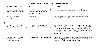# **TROUBLESHOOTING/Use with Popular Software**

<span id="page-21-0"></span>

| Hardware/Software                                                          | <b>Problem</b>                                                                                 | <b>Solution</b>                                                                                                                                                                                                                                                                                                  |
|----------------------------------------------------------------------------|------------------------------------------------------------------------------------------------|------------------------------------------------------------------------------------------------------------------------------------------------------------------------------------------------------------------------------------------------------------------------------------------------------------------|
| Appleworks Version 1.1<br>Apple Computer Company                           | An "80N' appears in the upper left<br>hand corner of all printouts.<br>Strange text formating. | Refer to Appendix I, Appleworks with the Grappler+                                                                                                                                                                                                                                                               |
| Appleworks Version 1.2. 1.3,<br>2.0,3.0                                    | Same as 1.1                                                                                    | Refer to Appendix I. Appleworks with the Grappler+                                                                                                                                                                                                                                                               |
| PFS: Write, PFS: Graph<br>Software Publishing Company                      | When you merge a graph with a<br>text file, the printer prints garbage                         | The solution is a two step process. First set the Grappler<br>DIP switches to transparent mode as shown on page 19.<br>(Or you may use the PFS software command P09 84 to<br>change transparency.) Then change the printer option on<br>the installation section from GRAPPLER to your specific<br>printer name. |
| Wordstar, MicroPro, when<br>used with CP/M and a<br>Letter Quality Printer | When you print, you get garbage.                                                               | Set the GRAPPLER DIP switch to transparent mode when<br>printing. See page 19. If your program allows, insert a<br>Control-T in the printer installation area.                                                                                                                                                   |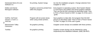| Homeward Sierra On-Line<br>Software Co.                       | No printing. System hangs.                                   | Go into the installation program. Change selection from<br>Grappler to "other."                                                                                                                                                                 |
|---------------------------------------------------------------|--------------------------------------------------------------|-------------------------------------------------------------------------------------------------------------------------------------------------------------------------------------------------------------------------------------------------|
| Dollars and Sense<br>Monogram Software                        | Graphics cannot be printed from<br>within the program        | Exit program to operating system. Boot System Master<br>3.3 and load in the Dollars and Sense graphics diskette.<br>Then use the BLOAD command as described under "How<br>to Print a Picture Saved to DiSk" on page 15 of this user's<br>quide. |
| VisiPlot, VisiTrend<br>Version 1.0 and 1.1<br><b>VIsiCorp</b> | Program will not screen dump<br>when using certain printers. | Save graphics to data disk. Exit program then BLOAD<br>picture as described under "How to Print a Picture Saved<br>To Disk" on page 15 of this user's guide.                                                                                    |
| Mannesmann Talley<br>Centronics                               | No graphics printing.                                        | Grappler screen dumps not available with these printers.                                                                                                                                                                                        |
| Toshiba                                                       | No graphics printing                                         | Graphics screen dumps can be obtained by using<br>Amperdump from MadWest Software, (608) 238-4875.                                                                                                                                              |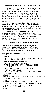# **APPENDIX A: PASCAL AND CP/M COMPATIBILITY**

<span id="page-23-0"></span>The GRAPPLER is compatible with both Pascal and CP/M. Pascal 1.0 and CP/M will both recognize the card as a serial interface. Entry points have been provided to mimic a serial interface so that the card will function properly with these systems. Pascal 1.1 will correctly interpret that it is a firmware printer interface and access it accordingly. In either case the card will function normally with a few minor exceptions as detailed in the following paragraphs.

Since both systems use Control-I to represent a horizontal tab, the default command character has been changed to Control-Y. If you are listing a file that contains tabs, be certain the printer tabs have previously been set (see your printer manual).

Both Pascal 1.0 and CP/M use one of the I/O RAM locations to pass the output character, Since the GRAPPLER was already using all available locations for its variables, the right margin function had to be deleted to make it compatible. This feature is still available from BASIC or Pascal 1.1.

#### **APPENDIX B: GRAPHICS PROGRAMS**

The following programs allow you to test the graphics capability of the GRAPPLER. NOTE: In the following programs, REM stands for "remark." The letters "REM" and anything following "REM" need not be typed.

#### **Far Applesoft Basic Users:**

- 5 TEXT
- 10 HOME
- 20 PRINT "ENTER THE SLOT YOU GRAPPLER IS IN AND"
- 30 INPUT "HIT THE RETURN KEY'S:";S
- 50 HGR:REM CLEAR HIRES PAGE 1
- 60 HCOLOR 3:REM SET COLOR TO WHITE
- 70 POKE 49234,0:REM SWITCH TO FULL-SCREEN **GRAPHICS**
- 80 HPLOT 0,0 TO 279,0 TO 279190T0 0.190 TO 0,0:.REM DRAWS RECTANGLE
- 90 FOR X = 0 TO 279 STEP 9:HPLOT X,0 TO X.190;REM PLOT VERTICAL LINES
- 100NEXT X
- 110FOR Y = 0 TO 190 STEP 5:HPLOT 279,Y TO 0,Y:REM PLOT HORIZONTAL LINES

120NEXT Y

```
130PRINT CHR$(4);"PR#";S:REM TURNS ON GRAPPLER
140PRINT CHR$(9);"G":REM DUMP HIRES PAGE 1 NORMAL
150PRINT CHR$(4);"PR#0":REM TURNS OFF GRAPPLER
160TEXT:REM HOME CURSOR
999END
```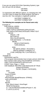<span id="page-24-0"></span>If you are not using DOS (Disk Operating System), type line 130 and 150 as follows:

130 PR#S 150 PR#0

To experiment with different options, try changing line 140. You don't have to retype the whole *program,* just type a new line 140. Two examples in Applesoft would be:

> 140 PRINT CHR\$(9);"GI" 140 PRINT CHR\$(9);"GDR"

#### **The following two examples are for Pascal users only:**

Example #1 FOR PASCAL USERS: PROGRAM DEMO; USES TURTLE GRAPHIOS,APPLESTUFF; VAR ANGLE,DISTANCE:INTEGER; PRINT:TEXT BEGIN  $ANGLE$ : = 80: INITTURTLE; PEN COLOR (WHITE) FOR DISTANCE: = 1 TO 99 DO **BEGIN** MOVE (2\*DISTANCE): TURN (ANGLE); END; RE WRITE (PRINT,' PR INTER:'); WRITELN(PRINT.CHR\$(25),'G'); ("USE CHR(25)(CTRL-Y) IN PASCAL\*); END. Example #2 PROGRAM Load Pic: (This program demonstrates how to load a picture which has been saved to disk using a BLOCKWRITE command.) USES TURTLEGRAPHICS.APPLESTUFF: CONST Hires\_Page\_1 =  $8192$ : VAR DiskBlock: RECORD CASE BOOLEAN OF TRUE: (Intpart:INTEGER); FALSE: (Ptrpart: A INTEGER); END: ch:CHAR; fname:STRING: prnt:TEXT: PROCEDURE Bload(Filename: STRING); VAR io:INTEGER: fFILE: BEGIN Disk .Block.Intpart; HiresPagel: RESET(f,Filename); io: = BLOCKREAD(f,DiskBlockPtrpart A .16): C LOS E (f,LOG K):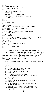END; PROCEDURE Print\_Picture; VAR options:STRING; BEGIN WRITE('Enter options:'); READLN(options); FlEWRITE(prnt,'PRINTER:'); WRITELN(prnt,CHR(25),'G'.options); CLOSE(prnt); END; BEGIN INITTURTLE; REPEAT TEXTMODE WRITELN (Enter picture name (specify drive):') (An example of an entry would be: #5: Picture, Foto Where PictureFoto is a picture on drive 2.) READLN(fname); GRAFMODE; Bload (fname); REPEAT UNTIL KEYPRESS:(wait until key is pressed) READ (KEYBOARD,ch);lclear keyboardl TEXTMODE; PrintPicture; WRITE('Print more pictures?'): READLN(ch); UNTIL(ch- 'N) or (ch='n'); END.

#### **Programs to Print Graph Saved to Disk**

The following programs will allow you to print a graph that has been previously saved to the disk. For example, after saving the graph created by one of the popular graphing programs for the Apple, run this Basic program to print the graph on your printer.

NOTE:

If your GRAPPLER is not in slot #1, change line 5 so that S equals the slot number of your GRAPPLER.

- $5 S=1$ <br>10 HOM
- **HOME**
- 20 D\$ = CHR\$(4):REM CTRL-D FOR APPLE DOS
- 30 1\$ =1 CHR\$(9):REM CTRL-I
- 40 PRINT "ENTER THE NAME OF THE GRAPH:"<br>50 INPUT N\$
- 50 INPUT N\$
- **HGR:REM CLEAR HIRES PAGE 1**
- 70 PRINT D\$:"BLOAD":N\$;",A\$2000":REM LOAD PICTURE INTO HIRES PAGE 1
- 80 VTAB 22<br>90 PRINT "E
- PRINT "ENTER OPTIONS (D.I.R,L.E,NORMAL)';
- 100 INPUT A\$
- 105 IF LEFT\$(AS,1) "N"THEN A\$ ':REM IF NORMAL THEN NO OPTIONS
- 110 PRINT D\$:"PR#":S:REM TURNS ON GRAPPLER
- 120 PRINT l\$;"G":A\$REM DUMP HIRES PAGE 1 WITH **OPTIONS**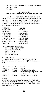130 PRINT D\$:"PR#0":REM TURNS OFF GRAPPLER

140 TEXT:HOME

999 END

# **APPENDIX C: MEMORY LOCATIONS & CUSTOM DRIVERS**

<span id="page-26-0"></span>The GRAPPLER uses those RAM locations set aside for its particular slot and the slot scratchpad area common to all slots. The ROM is turned on using the standard ROM expansion protocol and resides in the locations \$C800 to \$CFFF. The entry points and the various RAM variables are listed below (N slot number).

| <b>Gold Entry</b>        | $=$ \$CN00       |
|--------------------------|------------------|
| Warm Entry               | $=$ \$CN02       |
| Left Margin              | $=$ \$478 + \$0N |
| <b>Right Margin</b>      | $=$ \$678 + \$0N |
| Line Length              | $= $578 + $0N$   |
| Page Length              | $=$ \$5F8 + \$0N |
| <b>Character Counter</b> | $= $4F8 + $0N$   |
| Line Counter             | $= $6F8 + $0N$   |
| Current Cmd. Char.       | $= $778 + $0N$   |
| Text Flags               | $= $7F8 + $0N$   |

Text Flag Bit Representations:

(Bit 7—Output high order bit)

(Bit 6—Video turned on)

(Bit 5—LF after a CR)

(Bit 4—Bell On)

(Bit 0-3—Reversed)

# **Custom Drivers**

If you are writing your own drivers, the following locations are used to access the card  $(Y = NO$  where  $N =$ slot#)

| <b>ADDRESS</b> | <b>READ</b>   | <b>WRITE</b>                    |
|----------------|---------------|---------------------------------|
| \$C080. Y      | <b>Status</b> | Output                          |
| \$C081. Y      | <b>Status</b> | Select bank 2 of ROM            |
| \$C082. Y      | <b>Status</b> | Reset Interrupt Request and IRO |
|                |               | data bit                        |
| \$C084. Y      | <b>Status</b> | Output/Interrupt on ACK         |

# **NOTE**

A READ in the range of  $$CNO$  to  $$CNFF$  (N = slot#) will select bank 1 of ROM. When an interrupt (IRQ) has been generated by the GRAPPLER+, bit 7 (MSB) of the status byte will be set to 1 (High).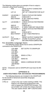The following routine gives an example of how to output a character using these locations:

|         | <b>PHA</b>                                | ;SAVE OUTPUT CHARACTER<br>ON STACK                                                        |
|---------|-------------------------------------------|-------------------------------------------------------------------------------------------|
|         | LDY 10                                    | ;SET UP Y-REGISTER FOR SLOT                                                               |
| PAPER?  | LDA \$C080, Y<br>AND <sub>04</sub>        | <b>CHECK STATUS FOR PAPER</b><br>CHECK BIT 2                                              |
|         | <b>BNE PAPER?</b>                         | IF SET THEN NO PAPER,<br><b>RECHECK</b>                                                   |
| SLCT?   | LDA \$C080, Y                             | ;CHECK STATUS FOR PRINTER<br><b>SELECT</b>                                                |
| ACK?    | AND 02<br>BEG SLCT?<br>LDA \$C080. Y      | :CHECK BIT 1<br>IF ZERO THEN NOT SELECTED<br><b>CHECK STATUS FOR PRINTER</b>              |
|         | AND 01                                    | <b>BUSY</b><br>:CHECK BIT 0                                                               |
|         | <b>BEG PAPER?</b>                         | <b>IF SET THEN PRINTER IS</b><br><b>BUSY</b>                                              |
| OUTPUT? | <b>PLA</b><br>STA \$C080, Y<br><b>RTS</b> | <b>RESET OUTPUT CHARACTER:</b><br><b>STORE TO OUTPUT LATCH</b><br>:RETURN FROM SUBROUTINE |

#### **For Assembly Language Users**

The following routine shows how to send a GRAPPLER command to the GRAPPLER.

| <b>SET OUTPU TO GRAPPLER</b> |
|------------------------------|
|                              |
|                              |
|                              |
| SEND A CTRL-I                |
|                              |
| <b>SEND AG</b>               |
|                              |
| SEND A CARRIAGE RETURN       |
|                              |
|                              |
|                              |

NOTE: Characters sent to GRAPPLER must have the 8th bit on.

#### **APPENDIX D:**

#### **USER ROUTINES FOR ADVANCED PROGRAMMERS**

The following features are included in the GRAPPLER for the benefit of advanced (assembly language) programmers

CTRL-IU Jump to the user routine starting at \$300. This feature is for advanced programmers who wish to bypass the GRAPPLER firmware. The accumulator will contain the Output character. The user routine should "JMP" to \$CF03 when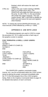finished, which will restore the stack and registers.

<span id="page-28-0"></span>CTRL-I1U Jump to the user routine starting at \$D000, bank A of a RAM card in slot 0. The GRAPPLER will enable the RAM card prior to the jump. As with CTRL-l U, the accumulator will contain the output character. The user routine should "JMP" to \$CF000 to disable the RAM card and restore the tack and registers when finished.

NOTE: To restore the normal GRAPPLER firmware, you must execute a PR#0 followed by a PR#n  $(n = slot#)$ .

# **APPENDIX E: USE WITH LOGO**

The following programs are used in LOGO to create the procedure HC. HC is called up when a hard copy of the graphics screen is wanted.

# **FOR TERRAPIN & KRELL LOGO USERS:**

TO HC OUTDEV 1 (PRINT1 CHAR 9 "G CHAR 13) OUTDEV 0 END

| <b>FOR APPLE</b>         | <b>FOR APPLE</b>   |
|--------------------------|--------------------|
| LOGO USERS:              | LOGO II USERS:     |
| TO HC                    | TO HC              |
| PRINTER 1                | OPEN <sub>1</sub>  |
| (TYPE CHAR 9 "G CHAR 13) | <b>SETWARE 1</b>   |
| .PRINTER 0               | PRINT WORD CHAR 25 |
|                          | "GDR               |
| <b>END</b>               | <b>SETWRITE II</b> |
|                          | CLOSE 1            |
|                          | END                |

The GRAPPLER+ graphics commands (rotate, inverse, etc.) can be incorporated within the LOGO screen dump by placing the proper command immediately after the "G" in the third program line of the LOGO program listing. Refer to the Graphics Commands listed on page 16 for detailed descriptions of each command.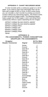# **APPENDIX F: CHART RECORDER MODE**

<span id="page-29-0"></span>**A** chart recorder prints a continuous graph on a roll of paper. If you need to chart more information than can be done with a single HI-RES or DUAL HI-RES screen dump, you can simulate a chart recorder by printing successive screens without any intervening spaces. This feature works in both normal and rotated modes. The following program loads a graph into HI-RES pages 1 and 2 and dumps them continuously without a space separating the two images:

10PRINT CHR\$(4);"BLOAD GRAPHi ,A\$2000" 20PRINT CHR\$(4);"BLOAD GRAPH2,A\$4000" 30PRINT CHR\$(4);"PR#1" 40PRINT CHR\$(9);"GR" 50PRINT CHR\$(9);"G2R" 60PRINT CHR\$(4);"PR#0" 70END

#### **APPENDIX G:**

#### **PIN ASSIGNMENTS, POWER CONSUMPTION GRAPPLER+ PIN ASSIGNMENTS**

| Grappler<br><b>Header Connector</b> | Signal      | 36 Pin Male<br><b>Centronics</b> |
|-------------------------------------|-------------|----------------------------------|
| 1                                   | Strobe      | 1                                |
| $\frac{2}{3}$                       | Ground      | 19                               |
|                                     | Data Bit 0  | 2                                |
| $\overline{\mathbf{r}}$             | Ground      | 20                               |
| 5                                   | Data Bit 1  | 3                                |
| 6                                   | Ground      | 21                               |
| $\overline{7}$                      | Data Bit 2  | 4                                |
| 8                                   | Ground      | 22                               |
| 9                                   | Data Bit 3  | 5                                |
| 10                                  | Ground      | 23                               |
| 11                                  | Data Bit 4  | 6                                |
| 12                                  | Ground      | 24                               |
| 13                                  | Data Bit 5  | $\overline{7}$                   |
| 14                                  | Ground      | 25                               |
| 15                                  | Data Bit 6  | 8                                |
| 16                                  | Ground      | 26                               |
| 17                                  | Data Bit 7  | 9                                |
| 18                                  | Ground      | 27                               |
| 19                                  | Acknowledge | 10                               |
| 20                                  | Ground      | 28                               |
| 21                                  | Busy        | 11                               |
| 22                                  | Ground      | 29                               |
| 23                                  | Paper Empty | 12                               |
| 24                                  | Ground      | 30                               |
| 25                                  | Select      | 13                               |
| 26                                  | Ground      | 31                               |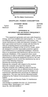<span id="page-30-0"></span>

#### **GRAPPLER+ POWER CONSUMPTION**

**STANDBY MODE ACTIVE** 

 Typical 88mA 158mA Maximum 162mA 283mA

#### **APPENDIX H: INFORMATION ON RADIO FREQUENCY INTERFERENCE**

"This equipment generates and uses radio frequency energy, and if not installed and used properly, i.e., in strict accordance with the manufacturer's instructions, may cause interference to radio and television reception. It has been type tested and found to comply with the limits for class B computing device in accordance with the specifications in Subpart of Part 15 of FCC Rules, which are designed to provide reasonable protection against such interference in a residential installation. However, there is no guarantee that interference will not occur in a particular installation, If this equipment does cause interference to radio or television reception, which can be determined by turning the equipment off and on, the user is encouraged to try to correct the interference by one or more of the following measures:

Reorient the receiving antenna.

Relocate the computer with respect to the receiver. Move the computer away from the receiver.

Plug the computer into a different outlet so that the computer and receiver are on different branch circuits. If necessary, the user should consult the dealer or an experienced radio/television technician for additional suggestions. The user may find the following booklet prepared by the Federal Communications Commission helpful:

"How to Identify and Resolve Radio-TV Interference Problems"

This booklet is available from the U.S. Government Printing Office, Washington, D.C. 20402. Stock No. 004-000-00398-5."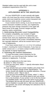<span id="page-31-0"></span>Shielded cables must be used with this unit to meet compliance requirements of the FCC.

# **APPENDIX I: APPLEWORKS WITH THE GRAPPLER+**

For your GRAPPLER+ to work correctly with Appleworks, you must have the correct revision level of Appleworks, and must install the correct control characters into the Interface cards section of Appleworks.

If your revision level is wrong, or you do not have the control characters installed correctly, your Appleworks printouts may have strange characters in the upper left hand corner of the page, incorrect margins and line spacing, and/or overprinting.

**1. DetermIning Revision Level Compatibility**  For complete compatibility, your revision of Appleworks must be 1.2, 1.3, 2.0 or 3.0. To determine your revision level, boot your Appleworks startup disk. Five lines from the bottom of the screen; immediately following the copyright statement, will be the revision level of your copy of Appleworks.

If you have revision level 1.2, 1.3, 2.0 or 3.0 continue to step 2, inserting the Control Characters. If you have an earlier version (rev 1.1 or lower) contact CLARIS concerning upgrade of original Appleworks.

# **2. InsertIng the Control Characters**

To insert the proper control characters for the GRAPPLER+ you must first go to the Interface Card selection in Appleworks. To do that:

- A) Boot up Appleworks to the main menu.
- B) Select "5. Other Activities."
- C) From the new menu, select "7. Specify Information About Your Printer(s)"
- D) If you already have your printer installed, pick printer from under the heading Change Printer Specifications." The screen should now display five possible selections. Choose "5. Interface cards." Skip to step E.

If you are just now installing your printer, select "1. Add a Printer." At this point, you will be asked to pick your printer from a list of printers. If your printer is not on the list, choose a compatible printer. Now type in the name of your printer. The program will now ask you which slot your GRAPPLER + card is installed in (usually slot 1). After you have answered this question, the screen will display five selections. Pick "5. Interface cards."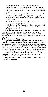- E) Your screen should now display the Interface Card explanation screen. Press the space bar. The program will now show you the present interface card control characters and ask you it this is okay. Choose no." The screen will now read None."
- F) The control characters you wish to install are "Control-I 0N." — Hold down the Control key and press the I key once. Release the Control key. ("Control-I" should now be printed on your screen.)

— Now type a 0 (Zero). (Do not put in any spaces.)

— Next type an N (Capital letter N).

 $-$  Finally, type a  $\wedge$  (Hold down the Shift key and press the 6 key). This will return you to either the Add a Printer or Change a Printer menus.

Your GRAPPLER+ control characters are now installed. This procedure is the same whether installing a printer on the list or a custom printer. Other information you may need for custom installation should be available in your Appleworks and/or printer manuals.

#### **3.Miscellaneous Problems**

If you have problems when printing tabs, i.e., columns run together, or tabs are uneven, it could be because the GRAPPLER+ is intercepting the code your printer uses to signify a tab. To prevent the GRAPPLER + from intercepting any printer codes, you should put it in the Transparent mode. To do this within Appleworks, insert Control-I T instead of Control-I ON, following the above procedure.

Other problems, such as a strange character printing out at the beginning of each line, or double spacing, do not relate to the GRAPPLER+ and are most often traced to incorrect printer installation within Appleworks.

Appleworks 3.0 Menu Item Numbers may be different than earlier versions.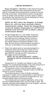<span id="page-33-0"></span>**Every Grappler+ interface** is fully tested and quality checked before shipment and is warranted to be free from defects in materials and workmanship for a period of one year from date of purchase. During that time period, Orange Micro will at no charge to the purchaser of record, repair or replace any defective unit returned to its Service Department in accordance with the following instructions.

*NOTE: Do NOT return the Grappler, to Orange Micro Inc. until you have received a Return Authorization number. Phone the Orange Micro Technical Support Department at 714/779-2772 between 8 am and 4 pm PST to obtain a Return Authorization Number.*

- 1. Provide Orange Micro Inc. with: Model, Serial Number, Proof of Purchase with Date, Return Address, and preferred return shipping method. Enclose a clear description of the problem experienced and any sample printouts showing the problem, if possible. Be sure that your printer properly executes its "self test" as described in its own documentation.
- 2. Ship in the original carton or securely packaged in a cardboard carton with at least two inches of cushioned packing material on all sides. Mark the package FRAGILE" and ship via UPS, Parcel Post, or Air Freight, insured and prepaid.

#### *NOTE: Do not send COLLECT- collect shipments will be refused and returned to sender.*

Orange Micro Inc. disclaims any liability to users of the Grappler+ for consequential damages of any kind arising from or connected with the use of the Grappler+ interface.

This warranty is void in cases of misuse, abuse, abnormal conditions of operations or attempts to alter or modify the function of a part or assembly.

This limited warranty is in lieu of all other warranties expressed or implied, and no representative or other person is authorized to represent or assume for Orange Micro Inc. any warranty liability beyond that set forth herein.

This warranty gives you specific legal rights, and you may also have additional rights which vary from state to state. The warranty expressed herein applies only to the Grappler+ sold and used in the United States of America.